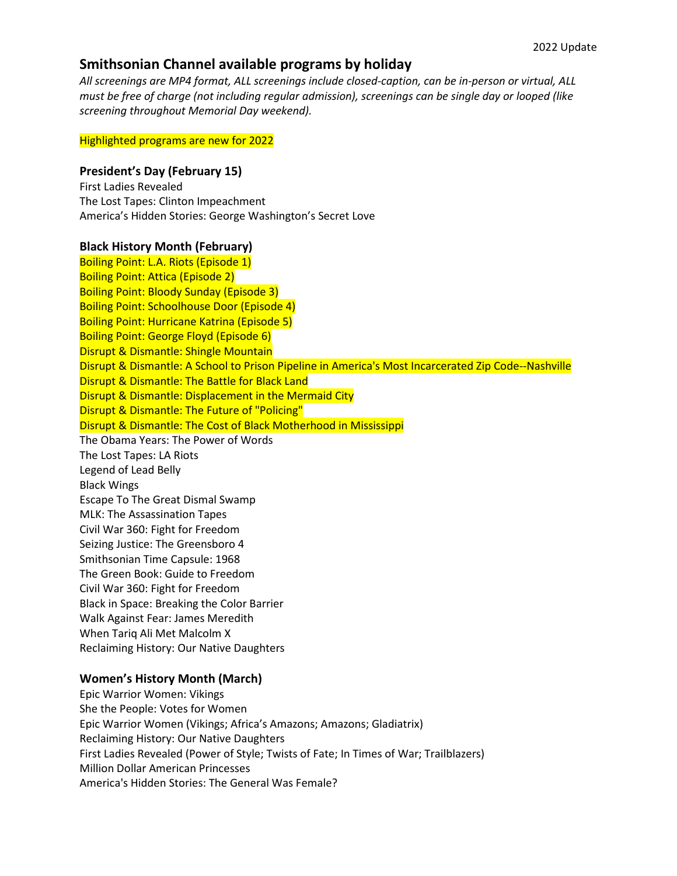# **Smithsonian Channel available programs by holiday**

*All screenings are MP4 format, ALL screenings include closed-caption, can be in-person or virtual, ALL must be free of charge (not including regular admission), screenings can be single day or looped (like screening throughout Memorial Day weekend).*

#### Highlighted programs are new for 2022

## **President's Day (February 15)**

First Ladies Revealed The Lost Tapes: Clinton Impeachment America's Hidden Stories: George Washington's Secret Love

#### **Black History Month (February)**

Boiling Point: L.A. Riots (Episode 1) Boiling Point: Attica (Episode 2) Boiling Point: Bloody Sunday (Episode 3) Boiling Point: Schoolhouse Door (Episode 4) Boiling Point: Hurricane Katrina (Episode 5) Boiling Point: George Floyd (Episode 6) Disrupt & Dismantle: Shingle Mountain Disrupt & Dismantle: A School to Prison Pipeline in America's Most Incarcerated Zip Code--Nashville Disrupt & Dismantle: The Battle for Black Land Disrupt & Dismantle: Displacement in the Mermaid City Disrupt & Dismantle: The Future of "Policing" Disrupt & Dismantle: The Cost of Black Motherhood in Mississippi The Obama Years: The Power of Words The Lost Tapes: LA Riots Legend of Lead Belly Black Wings Escape To The Great Dismal Swamp MLK: The Assassination Tapes Civil War 360: Fight for Freedom Seizing Justice: The Greensboro 4 Smithsonian Time Capsule: 1968 The Green Book: Guide to Freedom Civil War 360: Fight for Freedom Black in Space: Breaking the Color Barrier Walk Against Fear: James Meredith When Tariq Ali Met Malcolm X

Reclaiming History: Our Native Daughters

#### **Women's History Month (March)**

Epic Warrior Women: Vikings She the People: Votes for Women Epic Warrior Women (Vikings; Africa's Amazons; Amazons; Gladiatrix) Reclaiming History: Our Native Daughters First Ladies Revealed (Power of Style; Twists of Fate; In Times of War; Trailblazers) Million Dollar American Princesses America's Hidden Stories: The General Was Female?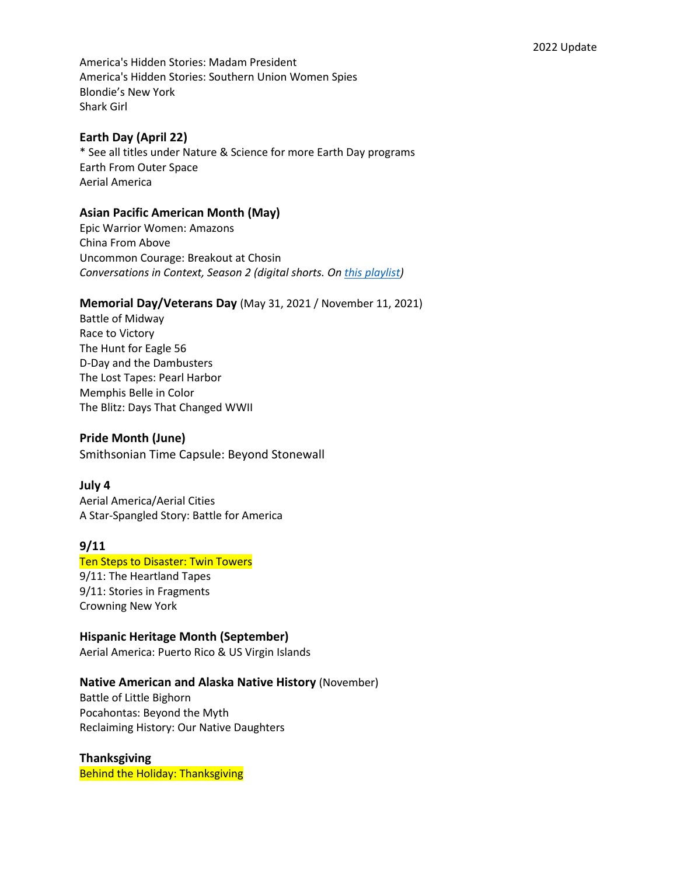America's Hidden Stories: Madam President America's Hidden Stories: Southern Union Women Spies Blondie's New York Shark Girl

## **Earth Day (April 22)**

\* See all titles under Nature & Science for more Earth Day programs Earth From Outer Space Aerial America

## **Asian Pacific American Month (May)**

Epic Warrior Women: Amazons China From Above Uncommon Courage: Breakout at Chosin *Conversations in Context, Season 2 (digital shorts. O[n this playlist\)](https://nam02.safelinks.protection.outlook.com/?url=https%3A%2F%2Furldefense.proofpoint.com%2Fv2%2Furl%3Fu%3Dhttps-3A__nam02.safelinks.protection.outlook.com_-3Furl-3Dhttps-253A-252F-252Fwww.youtube.com-252Fwatch-253Fv-253D2Y-5F9W5JLgKs-2526list-253DPL-2D-2DIcfCujHzkp6uTa4UdNwEFr5x5Rur-2DZ-2526index-253D1-26data-3D04-257C01-257CBugbeeE-2540si.edu-257Cad1d97e3d7be46b0855008d9bc016028-257C989b5e2a14e44efe93b78cdd5fc5d11c-257C0-257C0-257C637747536366188264-257CUnknown-257CTWFpbGZsb3d8eyJWIjoiMC4wLjAwMDAiLCJQIjoiV2luMzIiLCJBTiI6Ik1haWwiLCJXVCI6Mn0-253D-257C3000-26sdata-3DnsL2X-252Bm-252FldiLfe-252FDPmtCcyu3jc0Fsi5bOKXgi1jMBJE-253D-26reserved-3D0%26d%3DDwMFAg%26c%3DjGUuvAdBXp_VqQ6t0yah2g%26r%3Dlp8IqvzSZ9aCZ-EuCrJdgoMLGOHYYeUKUSVRgFdJD24%26m%3DGciPO8jgg-e03vw1x04EBpu4w-91vN60Nzo_aKEERaqIlG1Lm3ZFFoMWevykrW0l%26s%3Da3UO1nJ9AoKuuOMA0ESpu3n5Vw4j5CAGc2z-PdR-iJo%26e%3D&data=04%7C01%7CBugbeeE%40si.edu%7C9c2fa44261c84832e7de08d9be511e55%7C989b5e2a14e44efe93b78cdd5fc5d11c%7C0%7C0%7C637750077892212684%7CUnknown%7CTWFpbGZsb3d8eyJWIjoiMC4wLjAwMDAiLCJQIjoiV2luMzIiLCJBTiI6Ik1haWwiLCJXVCI6Mn0%3D%7C3000&sdata=E0C%2FmBoWu5VDNkKX8G38tfZJqbHY%2FV8s%2B5H2wBu3ETE%3D&reserved=0)*

#### **Memorial Day/Veterans Day** (May 31, 2021 / November 11, 2021)

Battle of Midway Race to Victory The Hunt for Eagle 56 D-Day and the Dambusters The Lost Tapes: Pearl Harbor Memphis Belle in Color The Blitz: Days That Changed WWII

#### **Pride Month (June)**

Smithsonian Time Capsule: Beyond Stonewall

#### **July 4**

Aerial America/Aerial Cities A Star-Spangled Story: Battle for America

## **9/11**

Ten Steps to Disaster: Twin Towers 9/11: The Heartland Tapes 9/11: Stories in Fragments Crowning New York

#### **Hispanic Heritage Month (September)**

Aerial America: Puerto Rico & US Virgin Islands

#### **Native American and Alaska Native History** (November)

Battle of Little Bighorn Pocahontas: Beyond the Myth Reclaiming History: Our Native Daughters

# **Thanksgiving**

Behind the Holiday: Thanksgiving